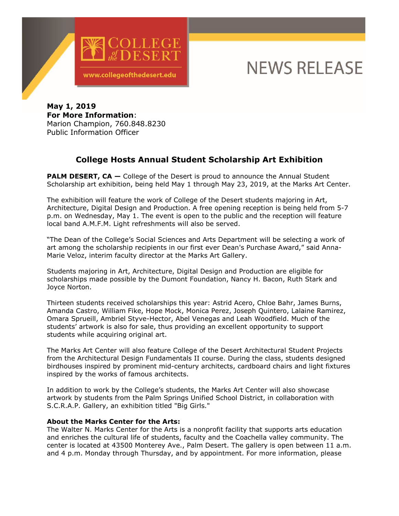

## **NEWS RELEASE**

**May 1, 2019 For More Information**: Marion Champion, 760.848.8230 Public Information Officer

## **College Hosts Annual Student Scholarship Art Exhibition**

**PALM DESERT, CA -** College of the Desert is proud to announce the Annual Student Scholarship art exhibition, being held May 1 through May 23, 2019, at the Marks Art Center.

The exhibition will feature the work of College of the Desert students majoring in Art, Architecture, Digital Design and Production. A free opening reception is being held from 5-7 p.m. on Wednesday, May 1. The event is open to the public and the reception will feature local band A.M.F.M. Light refreshments will also be served.

"The Dean of the College's Social Sciences and Arts Department will be selecting a work of art among the scholarship recipients in our first ever Dean's Purchase Award," said Anna-Marie Veloz, interim faculty director at the Marks Art Gallery.

Students majoring in Art, Architecture, Digital Design and Production are eligible for scholarships made possible by the Dumont Foundation, Nancy H. Bacon, Ruth Stark and Joyce Norton.

Thirteen students received scholarships this year: Astrid Acero, Chloe Bahr, James Burns, Amanda Castro, William Fike, Hope Mock, Monica Perez, Joseph Quintero, Lalaine Ramirez, Omara Sprueill, Ambriel Styve-Hector, Abel Venegas and Leah Woodfield. Much of the students' artwork is also for sale, thus providing an excellent opportunity to support students while acquiring original art.

The Marks Art Center will also feature College of the Desert Architectural Student Projects from the Architectural Design Fundamentals II course. During the class, students designed birdhouses inspired by prominent mid-century architects, cardboard chairs and light fixtures inspired by the works of famous architects.

In addition to work by the College's students, the Marks Art Center will also showcase artwork by students from the Palm Springs Unified School District, in collaboration with S.C.R.A.P. Gallery, an exhibition titled "Big Girls."

## **About the Marks Center for the Arts:**

The Walter N. Marks Center for the Arts is a nonprofit facility that supports arts education and enriches the cultural life of students, faculty and the Coachella valley community. The center is located at 43500 Monterey Ave., Palm Desert. The gallery is open between 11 a.m. and 4 p.m. Monday through Thursday, and by appointment. For more information, please